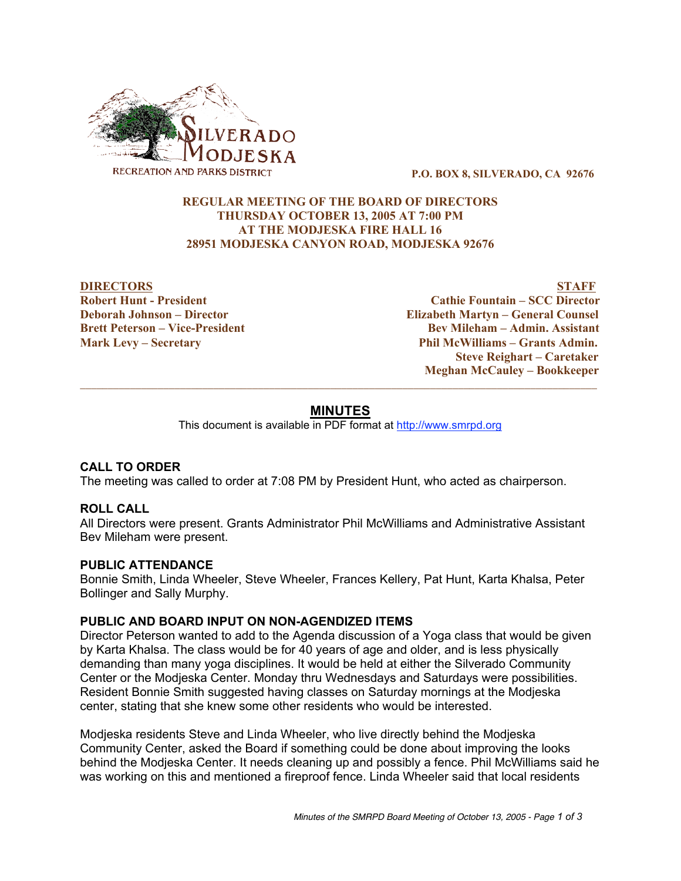

P.O. BOX 8, SILVERADO, CA 92676

# REGULAR MEETING OF THE BOARD OF DIRECTORS THURSDAY OCTOBER 13, 2005 AT 7:00 PM AT THE MODJESKA FIRE HALL 16 28951 MODJESKA CANYON ROAD, MODJESKA 92676

DIRECTORS STAFF Robert Hunt - President Cathie Fountain – SCC Director Deborah Johnson – Director Elizabeth Martyn – General Counsel Brett Peterson – Vice-President Bev Mileham – Admin. Assistant Mark Levy – Secretary Phil McWilliams – Grants Admin. Steve Reighart – Caretaker Meghan McCauley – Bookkeeper

# **MINUTES**

 $\_$  ,  $\_$  ,  $\_$  ,  $\_$  ,  $\_$  ,  $\_$  ,  $\_$  ,  $\_$  ,  $\_$  ,  $\_$  ,  $\_$  ,  $\_$  ,  $\_$  ,  $\_$  ,  $\_$  ,  $\_$  ,  $\_$  ,  $\_$  ,  $\_$  ,  $\_$  ,  $\_$  ,  $\_$  ,  $\_$  ,  $\_$  ,  $\_$  ,  $\_$  ,  $\_$  ,  $\_$  ,  $\_$  ,  $\_$  ,  $\_$  ,  $\_$  ,  $\_$  ,  $\_$  ,  $\_$  ,  $\_$  ,  $\_$  ,

This document is available in PDF format at http://www.smrpd.org

# **CALL TO ORDER**

The meeting was called to order at 7:08 PM by President Hunt, who acted as chairperson.

# **ROLL CALL**

All Directors were present. Grants Administrator Phil McWilliams and Administrative Assistant Bev Mileham were present.

# **PUBLIC ATTENDANCE**

Bonnie Smith, Linda Wheeler, Steve Wheeler, Frances Kellery, Pat Hunt, Karta Khalsa, Peter Bollinger and Sally Murphy.

# **PUBLIC AND BOARD INPUT ON NON-AGENDIZED ITEMS**

Director Peterson wanted to add to the Agenda discussion of a Yoga class that would be given by Karta Khalsa. The class would be for 40 years of age and older, and is less physically demanding than many yoga disciplines. It would be held at either the Silverado Community Center or the Modjeska Center. Monday thru Wednesdays and Saturdays were possibilities. Resident Bonnie Smith suggested having classes on Saturday mornings at the Modjeska center, stating that she knew some other residents who would be interested.

Modjeska residents Steve and Linda Wheeler, who live directly behind the Modjeska Community Center, asked the Board if something could be done about improving the looks behind the Modjeska Center. It needs cleaning up and possibly a fence. Phil McWilliams said he was working on this and mentioned a fireproof fence. Linda Wheeler said that local residents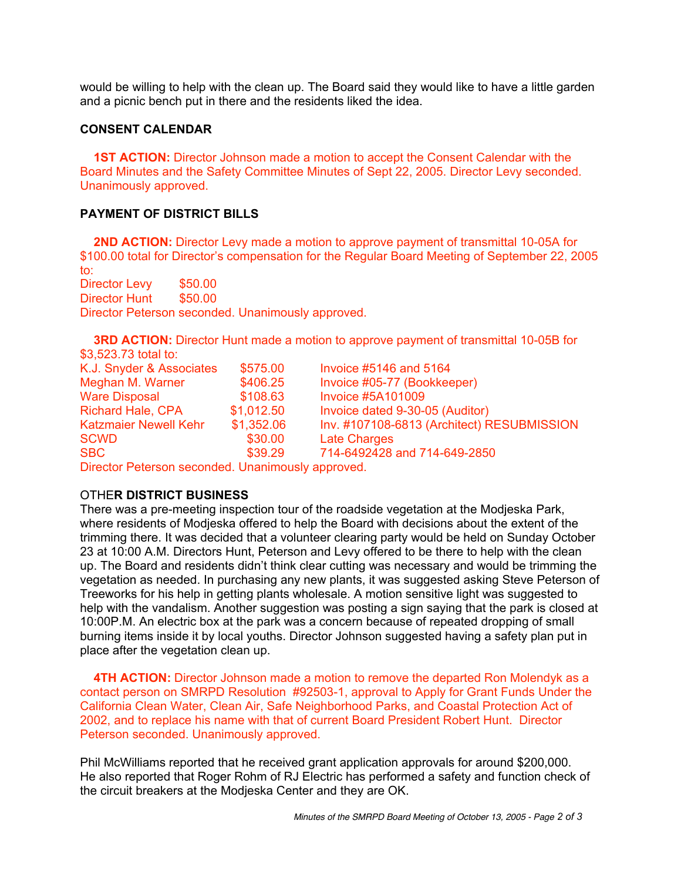would be willing to help with the clean up. The Board said they would like to have a little garden and a picnic bench put in there and the residents liked the idea.

# **CONSENT CALENDAR**

 **1ST ACTION:** Director Johnson made a motion to accept the Consent Calendar with the Board Minutes and the Safety Committee Minutes of Sept 22, 2005. Director Levy seconded. Unanimously approved.

# **PAYMENT OF DISTRICT BILLS**

 **2ND ACTION:** Director Levy made a motion to approve payment of transmittal 10-05A for \$100.00 total for Director's compensation for the Regular Board Meeting of September 22, 2005 to:

Director Levy \$50.00 Director Hunt \$50.00 Director Peterson seconded. Unanimously approved.

 **3RD ACTION:** Director Hunt made a motion to approve payment of transmittal 10-05B for \$3,523.73 total to:

| K.J. Snyder & Associates     | \$575.00   | Invoice #5146 and 5164                     |
|------------------------------|------------|--------------------------------------------|
| Meghan M. Warner             | \$406.25   | Invoice #05-77 (Bookkeeper)                |
| <b>Ware Disposal</b>         | \$108.63   | <b>Invoice #5A101009</b>                   |
| <b>Richard Hale, CPA</b>     | \$1,012.50 | Invoice dated 9-30-05 (Auditor)            |
| <b>Katzmaier Newell Kehr</b> | \$1,352.06 | Inv. #107108-6813 (Architect) RESUBMISSION |
| <b>SCWD</b>                  | \$30.00    | <b>Late Charges</b>                        |
| <b>SBC</b>                   | \$39.29    | 714-6492428 and 714-649-2850               |

Director Peterson seconded. Unanimously approved.

# OTHE**R DISTRICT BUSINESS**

There was a pre-meeting inspection tour of the roadside vegetation at the Modjeska Park, where residents of Modjeska offered to help the Board with decisions about the extent of the trimming there. It was decided that a volunteer clearing party would be held on Sunday October 23 at 10:00 A.M. Directors Hunt, Peterson and Levy offered to be there to help with the clean up. The Board and residents didn't think clear cutting was necessary and would be trimming the vegetation as needed. In purchasing any new plants, it was suggested asking Steve Peterson of Treeworks for his help in getting plants wholesale. A motion sensitive light was suggested to help with the vandalism. Another suggestion was posting a sign saying that the park is closed at 10:00P.M. An electric box at the park was a concern because of repeated dropping of small burning items inside it by local youths. Director Johnson suggested having a safety plan put in place after the vegetation clean up.

**4TH ACTION:** Director Johnson made a motion to remove the departed Ron Molendyk as a contact person on SMRPD Resolution #92503-1, approval to Apply for Grant Funds Under the California Clean Water, Clean Air, Safe Neighborhood Parks, and Coastal Protection Act of 2002, and to replace his name with that of current Board President Robert Hunt. Director Peterson seconded. Unanimously approved.

Phil McWilliams reported that he received grant application approvals for around \$200,000. He also reported that Roger Rohm of RJ Electric has performed a safety and function check of the circuit breakers at the Modjeska Center and they are OK.